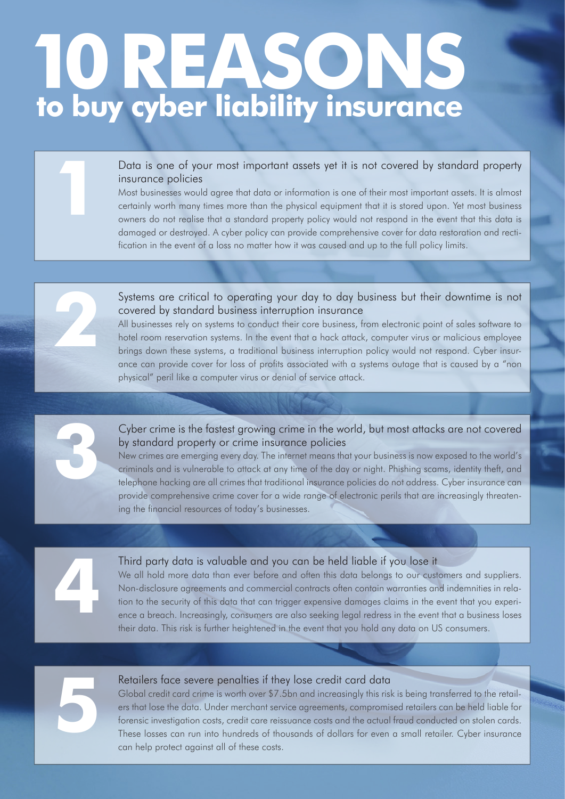## 17ASO  **to buy cyber liability insurance**

#### Data is one of your most important assets yet it is not covered by standard property insurance policies

Most businesses would agree that data or information is one of their most important assets. It is almost certainly worth many times more than the physical equipment that it is stored upon. Yet most business owners do not realise that a standard property policy would not respond in the event that this data is damaged or destroyed. A cyber policy can provide comprehensive cover for data restoration and rectification in the event of a loss no matter how it was caused and up to the full policy limits.



All businesses rely on systems to conduct their core business, from electronic point of sales software to hotel room reservation systems. In the event that a hack attack, computer virus or malicious employee brings down these systems, a traditional business interruption policy would not respond. Cyber insurance can provide cover for loss of profits associated with a systems outage that is caused by a "non physical" peril like a computer virus or denial of service attack.

Cyber crime is the fastest growing crime in the world, but most attacks are not covered by standard property or crime insurance policies

New crimes are emerging every day. The internet means that your business is now exposed to the world's criminals and is vulnerable to attack at any time of the day or night. Phishing scams, identity theft, and telephone hacking are all crimes that traditional insurance policies do not address. Cyber insurance can provide comprehensive crime cover for a wide range of electronic perils that are increasingly threatening the financial resources of today's businesses.

**1**

**2**

**3**

#### Third party data is valuable and you can be held liable if you lose it

We all hold more data than ever before and often this data belongs to our customers and suppliers. Non-disclosure agreements and commercial contracts often contain warranties and indemnities in relation to the security of this data that can trigger expensive damages claims in the event that you experi-Third party data is valuable and you can be held liable if you lose it<br>We all hold more data than ever before and often this data belongs to our customers and suppliers.<br>Non-disclosure agreements and commercial contracts o their data. This risk is further heightened in the event that you hold any data on US consumers.



### Retailers face severe penalties if they lose credit card data

Global credit card crime is worth over \$7.5bn and increasingly this risk is being transferred to the retailers that lose the data. Under merchant service agreements, compromised retailers can be held liable for forensic investigation costs, credit care reissuance costs and the actual fraud conducted on stolen cards. Retailers face severe penalties if they lose credit card data<br>Global credit card crime is worth over \$7.5bn and increasingly this risk is being transferred to the retail-<br>ers that lose the data. Under merchant service agre can help protect against all of these costs.